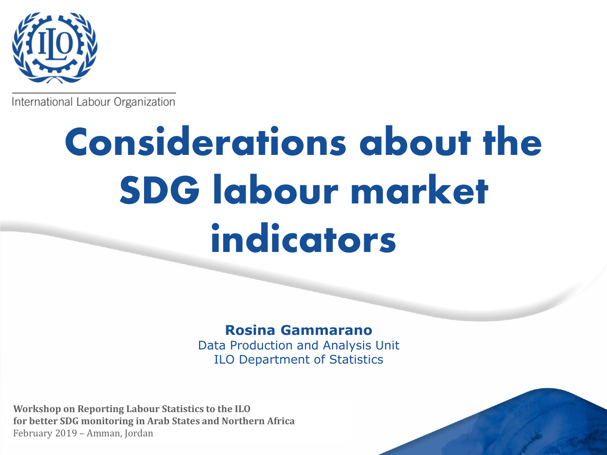

International Labour Organization

## **Considerations about the SDG labour market indicators**

## **Rosina Gammarano**

Data Production and Analysis Unit ILO Department of Statistics

**Workshop on Reporting Labour Statistics to the ILO for better SDG monitoring in Arab States and Northern Africa** February 2019 – Amman, Jordan

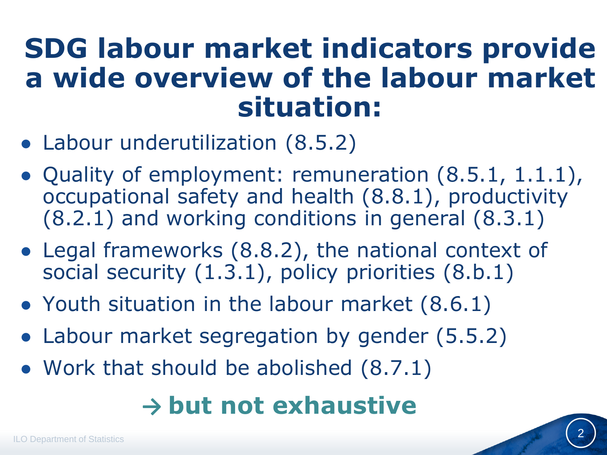## **SDG labour market indicators provide a wide overview of the labour market situation:**

- Labour underutilization (8.5.2)
- Quality of employment: remuneration (8.5.1, 1.1.1), occupational safety and health (8.8.1), productivity (8.2.1) and working conditions in general (8.3.1)
- Legal frameworks (8.8.2), the national context of social security (1.3.1), policy priorities (8.b.1)
- Youth situation in the labour market (8.6.1)
- Labour market segregation by gender (5.5.2)
- Work that should be abolished (8.7.1)

## **→ but not exhaustive**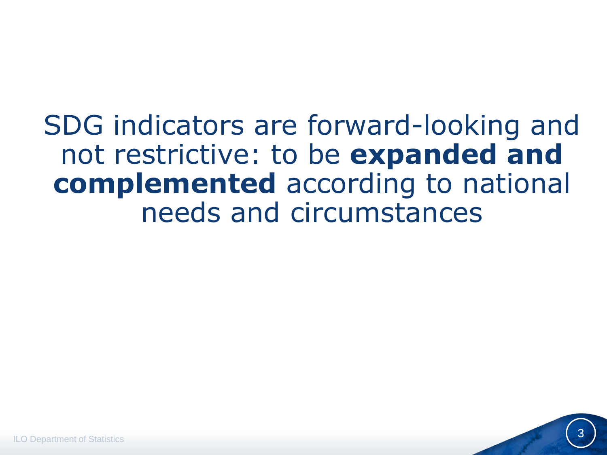SDG indicators are forward-looking and not restrictive: to be **expanded and complemented** according to national needs and circumstances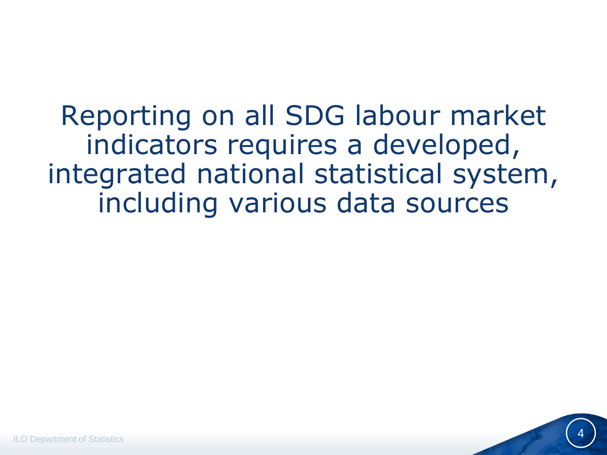Reporting on all SDG labour market indicators requires a developed, integrated national statistical system, including various data sources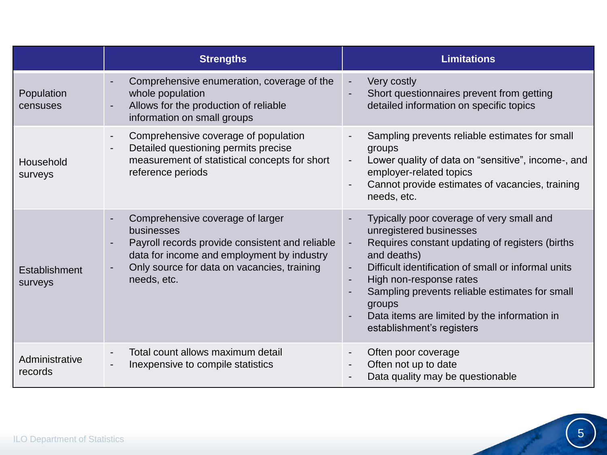|                           | <b>Strengths</b>                                                                                                                                                                                                                          | <b>Limitations</b>                                                                                                                                                                                                                                                                                                                                                                                              |
|---------------------------|-------------------------------------------------------------------------------------------------------------------------------------------------------------------------------------------------------------------------------------------|-----------------------------------------------------------------------------------------------------------------------------------------------------------------------------------------------------------------------------------------------------------------------------------------------------------------------------------------------------------------------------------------------------------------|
| Population<br>censuses    | Comprehensive enumeration, coverage of the<br>whole population<br>Allows for the production of reliable<br>$\overline{a}$<br>information on small groups                                                                                  | Very costly<br>Short questionnaires prevent from getting<br>detailed information on specific topics                                                                                                                                                                                                                                                                                                             |
| Household<br>surveys      | Comprehensive coverage of population<br>$\overline{\phantom{a}}$<br>Detailed questioning permits precise<br>$\overline{\phantom{a}}$<br>measurement of statistical concepts for short<br>reference periods                                | Sampling prevents reliable estimates for small<br>groups<br>Lower quality of data on "sensitive", income-, and<br>$\overline{\phantom{a}}$<br>employer-related topics<br>Cannot provide estimates of vacancies, training<br>needs, etc.                                                                                                                                                                         |
| Establishment<br>surveys  | Comprehensive coverage of larger<br>businesses<br>Payroll records provide consistent and reliable<br>data for income and employment by industry<br>Only source for data on vacancies, training<br>$\overline{\phantom{a}}$<br>needs, etc. | Typically poor coverage of very small and<br>unregistered businesses<br>Requires constant updating of registers (births<br>$\overline{\phantom{a}}$<br>and deaths)<br>Difficult identification of small or informal units<br>$\blacksquare$<br>High non-response rates<br>Sampling prevents reliable estimates for small<br>groups<br>Data items are limited by the information in<br>establishment's registers |
| Administrative<br>records | Total count allows maximum detail<br>Inexpensive to compile statistics<br>$\overline{\phantom{a}}$                                                                                                                                        | Often poor coverage<br>Often not up to date<br>Data quality may be questionable                                                                                                                                                                                                                                                                                                                                 |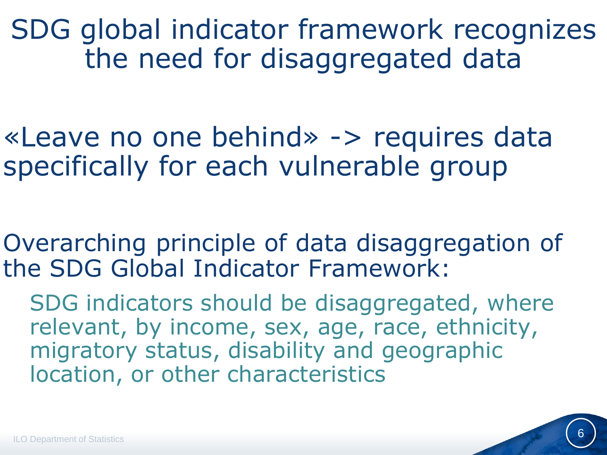SDG global indicator framework recognizes the need for disaggregated data

«Leave no one behind» -> requires data specifically for each vulnerable group

Overarching principle of data disaggregation of the SDG Global Indicator Framework:

SDG indicators should be disaggregated, where relevant, by income, sex, age, race, ethnicity, migratory status, disability and geographic location, or other characteristics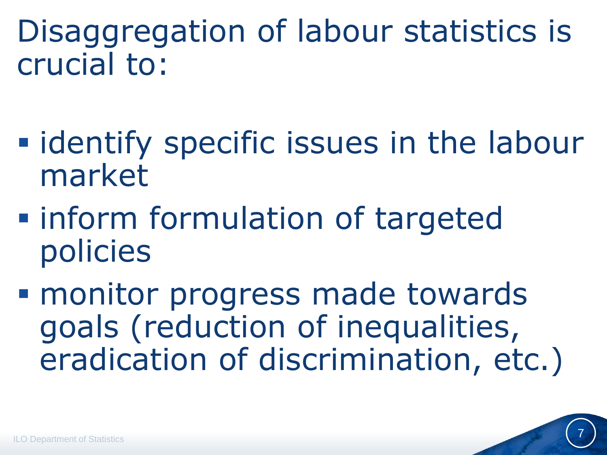Disaggregation of labour statistics is crucial to:

- **Example 1 identify specific issues in the labour** market
- **Inform formulation of targeted** policies
- **monitor progress made towards** goals (reduction of inequalities, eradication of discrimination, etc.)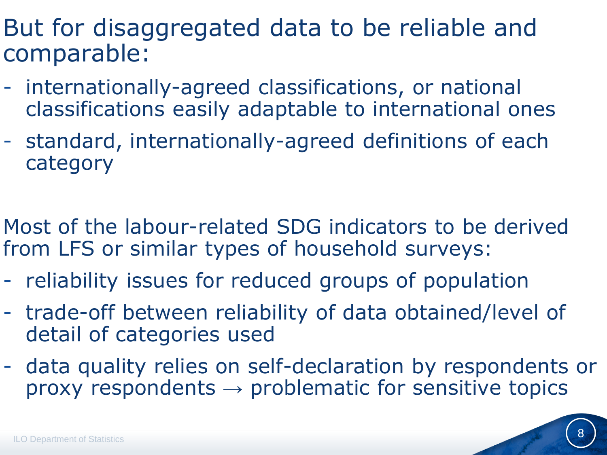But for disaggregated data to be reliable and comparable:

- internationally-agreed classifications, or national classifications easily adaptable to international ones
- standard, internationally-agreed definitions of each category
- Most of the labour-related SDG indicators to be derived from LFS or similar types of household surveys:
- reliability issues for reduced groups of population
- trade-off between reliability of data obtained/level of detail of categories used
- data quality relies on self-declaration by respondents or proxy respondents  $\rightarrow$  problematic for sensitive topics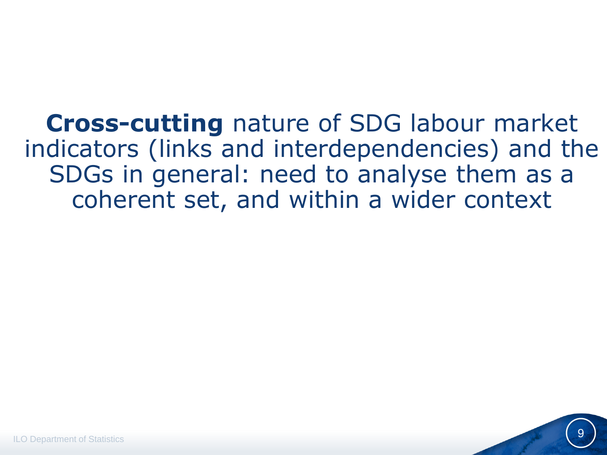**Cross-cutting** nature of SDG labour market indicators (links and interdependencies) and the SDGs in general: need to analyse them as a coherent set, and within a wider context